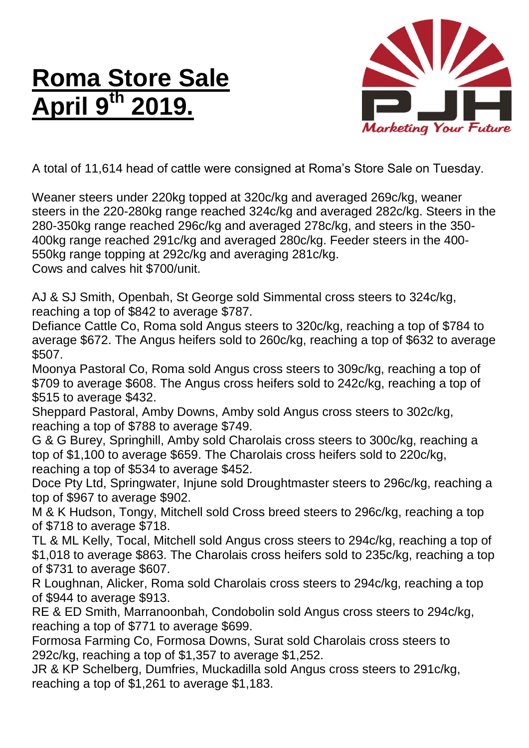## **Roma Store Sale April 9 th 2019.**



A total of 11,614 head of cattle were consigned at Roma's Store Sale on Tuesday.

Weaner steers under 220kg topped at 320c/kg and averaged 269c/kg, weaner steers in the 220-280kg range reached 324c/kg and averaged 282c/kg. Steers in the 280-350kg range reached 296c/kg and averaged 278c/kg, and steers in the 350- 400kg range reached 291c/kg and averaged 280c/kg. Feeder steers in the 400- 550kg range topping at 292c/kg and averaging 281c/kg. Cows and calves hit \$700/unit.

AJ & SJ Smith, Openbah, St George sold Simmental cross steers to 324c/kg, reaching a top of \$842 to average \$787.

Defiance Cattle Co, Roma sold Angus steers to 320c/kg, reaching a top of \$784 to average \$672. The Angus heifers sold to 260c/kg, reaching a top of \$632 to average \$507.

Moonya Pastoral Co, Roma sold Angus cross steers to 309c/kg, reaching a top of \$709 to average \$608. The Angus cross heifers sold to 242c/kg, reaching a top of \$515 to average \$432.

Sheppard Pastoral, Amby Downs, Amby sold Angus cross steers to 302c/kg, reaching a top of \$788 to average \$749.

G & G Burey, Springhill, Amby sold Charolais cross steers to 300c/kg, reaching a top of \$1,100 to average \$659. The Charolais cross heifers sold to 220c/kg, reaching a top of \$534 to average \$452.

Doce Pty Ltd, Springwater, Injune sold Droughtmaster steers to 296c/kg, reaching a top of \$967 to average \$902.

M & K Hudson, Tongy, Mitchell sold Cross breed steers to 296c/kg, reaching a top of \$718 to average \$718.

TL & ML Kelly, Tocal, Mitchell sold Angus cross steers to 294c/kg, reaching a top of \$1,018 to average \$863. The Charolais cross heifers sold to 235c/kg, reaching a top of \$731 to average \$607.

R Loughnan, Alicker, Roma sold Charolais cross steers to 294c/kg, reaching a top of \$944 to average \$913.

RE & ED Smith, Marranoonbah, Condobolin sold Angus cross steers to 294c/kg, reaching a top of \$771 to average \$699.

Formosa Farming Co, Formosa Downs, Surat sold Charolais cross steers to 292c/kg, reaching a top of \$1,357 to average \$1,252.

JR & KP Schelberg, Dumfries, Muckadilla sold Angus cross steers to 291c/kg, reaching a top of \$1,261 to average \$1,183.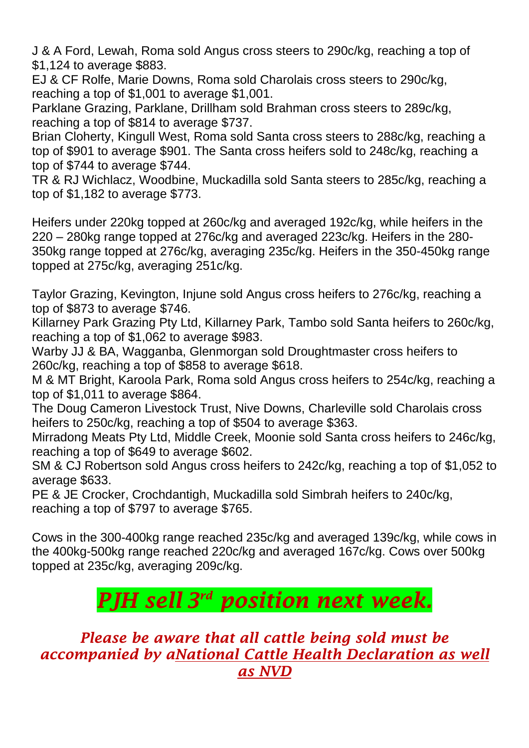J & A Ford, Lewah, Roma sold Angus cross steers to 290c/kg, reaching a top of \$1,124 to average \$883.

EJ & CF Rolfe, Marie Downs, Roma sold Charolais cross steers to 290c/kg, reaching a top of \$1,001 to average \$1,001.

Parklane Grazing, Parklane, Drillham sold Brahman cross steers to 289c/kg, reaching a top of \$814 to average \$737.

Brian Cloherty, Kingull West, Roma sold Santa cross steers to 288c/kg, reaching a top of \$901 to average \$901. The Santa cross heifers sold to 248c/kg, reaching a top of \$744 to average \$744.

TR & RJ Wichlacz, Woodbine, Muckadilla sold Santa steers to 285c/kg, reaching a top of \$1,182 to average \$773.

Heifers under 220kg topped at 260c/kg and averaged 192c/kg, while heifers in the 220 – 280kg range topped at 276c/kg and averaged 223c/kg. Heifers in the 280- 350kg range topped at 276c/kg, averaging 235c/kg. Heifers in the 350-450kg range topped at 275c/kg, averaging 251c/kg.

Taylor Grazing, Kevington, Injune sold Angus cross heifers to 276c/kg, reaching a top of \$873 to average \$746.

Killarney Park Grazing Pty Ltd, Killarney Park, Tambo sold Santa heifers to 260c/kg, reaching a top of \$1,062 to average \$983.

Warby JJ & BA, Wagganba, Glenmorgan sold Droughtmaster cross heifers to 260c/kg, reaching a top of \$858 to average \$618.

M & MT Bright, Karoola Park, Roma sold Angus cross heifers to 254c/kg, reaching a top of \$1,011 to average \$864.

The Doug Cameron Livestock Trust, Nive Downs, Charleville sold Charolais cross heifers to 250c/kg, reaching a top of \$504 to average \$363.

Mirradong Meats Pty Ltd, Middle Creek, Moonie sold Santa cross heifers to 246c/kg, reaching a top of \$649 to average \$602.

SM & CJ Robertson sold Angus cross heifers to 242c/kg, reaching a top of \$1,052 to average \$633.

PE & JE Crocker, Crochdantigh, Muckadilla sold Simbrah heifers to 240c/kg, reaching a top of \$797 to average \$765.

Cows in the 300-400kg range reached 235c/kg and averaged 139c/kg, while cows in the 400kg-500kg range reached 220c/kg and averaged 167c/kg. Cows over 500kg topped at 235c/kg, averaging 209c/kg.

## *PJH sell 3 rd position next week.*

## *Please be aware that all cattle being sold must be accompanied by aNational Cattle Health Declaration as well as NVD*